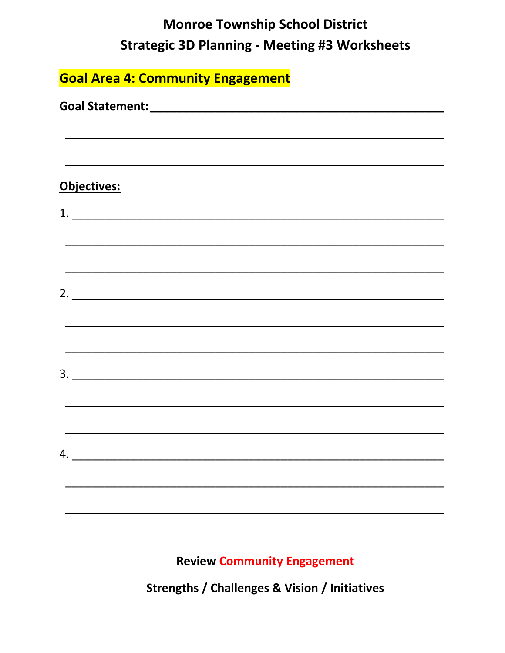### **Monroe Township School District Strategic 3D Planning - Meeting #3 Worksheets**

| <b>Goal Area 4: Community Engagement</b>   |  |  |
|--------------------------------------------|--|--|
|                                            |  |  |
|                                            |  |  |
| Objectives:                                |  |  |
| $\begin{array}{c} \textbf{1.} \end{array}$ |  |  |
|                                            |  |  |
|                                            |  |  |
|                                            |  |  |
|                                            |  |  |
|                                            |  |  |
| $\overline{\mathbf{3.}}$                   |  |  |
|                                            |  |  |
|                                            |  |  |
| 4.                                         |  |  |
|                                            |  |  |
|                                            |  |  |

**Review Community Engagement** 

**Strengths / Challenges & Vision / Initiatives**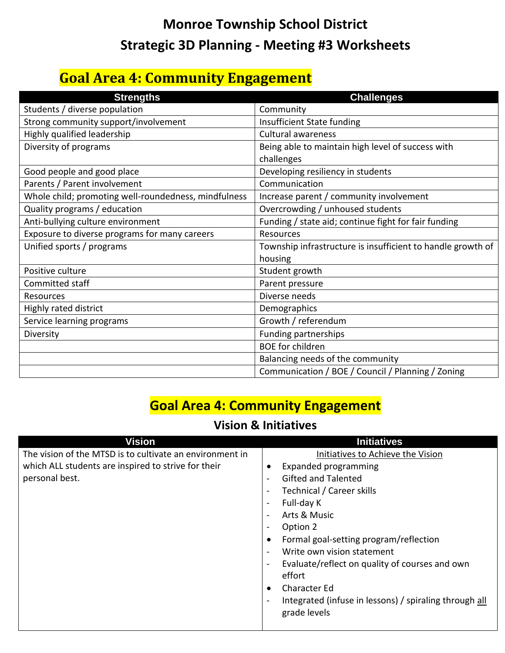## **Monroe Township School District Strategic 3D Planning - Meeting #3 Worksheets**

### **Goal Area 4: Community Engagement**

| <b>Strengths</b>                                     | <b>Challenges</b>                                           |
|------------------------------------------------------|-------------------------------------------------------------|
| Students / diverse population                        | Community                                                   |
| Strong community support/involvement                 | Insufficient State funding                                  |
| Highly qualified leadership                          | <b>Cultural awareness</b>                                   |
| Diversity of programs                                | Being able to maintain high level of success with           |
|                                                      | challenges                                                  |
| Good people and good place                           | Developing resiliency in students                           |
| Parents / Parent involvement                         | Communication                                               |
| Whole child; promoting well-roundedness, mindfulness | Increase parent / community involvement                     |
| Quality programs / education                         | Overcrowding / unhoused students                            |
| Anti-bullying culture environment                    | Funding / state aid; continue fight for fair funding        |
| Exposure to diverse programs for many careers        | <b>Resources</b>                                            |
| Unified sports / programs                            | Township infrastructure is insufficient to handle growth of |
|                                                      | housing                                                     |
| Positive culture                                     | Student growth                                              |
| Committed staff                                      | Parent pressure                                             |
| Resources                                            | Diverse needs                                               |
| Highly rated district                                | Demographics                                                |
| Service learning programs                            | Growth / referendum                                         |
| Diversity                                            | Funding partnerships                                        |
|                                                      | <b>BOE</b> for children                                     |
|                                                      | Balancing needs of the community                            |
|                                                      | Communication / BOE / Council / Planning / Zoning           |

#### **Goal Area 4: Community Engagement**

#### **Vision & Initiatives**

| Vision                                                   | <b>Initiatives</b>                                     |
|----------------------------------------------------------|--------------------------------------------------------|
| The vision of the MTSD is to cultivate an environment in | Initiatives to Achieve the Vision                      |
| which ALL students are inspired to strive for their      | <b>Expanded programming</b><br>٠                       |
| personal best.                                           | <b>Gifted and Talented</b>                             |
|                                                          | Technical / Career skills                              |
|                                                          | Full-day K<br>$\overline{\phantom{0}}$                 |
|                                                          | Arts & Music                                           |
|                                                          | Option 2                                               |
|                                                          | Formal goal-setting program/reflection<br>٠            |
|                                                          | Write own vision statement                             |
|                                                          | Evaluate/reflect on quality of courses and own         |
|                                                          | effort                                                 |
|                                                          | <b>Character Ed</b><br>٠                               |
|                                                          | Integrated (infuse in lessons) / spiraling through all |
|                                                          | grade levels                                           |
|                                                          |                                                        |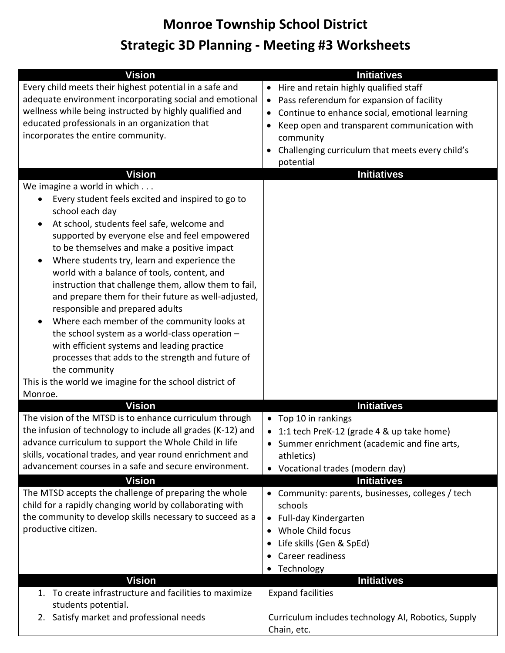#### **Monroe Township School District**

### **Strategic 3D Planning - Meeting #3 Worksheets**

| <b>Vision</b><br>Every child meets their highest potential in a safe and<br>adequate environment incorporating social and emotional<br>wellness while being instructed by highly qualified and<br>educated professionals in an organization that<br>incorporates the entire community.<br><b>Vision</b><br>We imagine a world in which<br>Every student feels excited and inspired to go to<br>$\bullet$<br>school each day<br>At school, students feel safe, welcome and<br>$\bullet$<br>supported by everyone else and feel empowered<br>to be themselves and make a positive impact<br>Where students try, learn and experience the<br>$\bullet$<br>world with a balance of tools, content, and<br>instruction that challenge them, allow them to fail,<br>and prepare them for their future as well-adjusted,<br>responsible and prepared adults<br>Where each member of the community looks at<br>٠<br>the school system as a world-class operation -<br>with efficient systems and leading practice<br>processes that adds to the strength and future of<br>the community | <b>Initiatives</b><br>Hire and retain highly qualified staff<br>Pass referendum for expansion of facility<br>$\bullet$<br>Continue to enhance social, emotional learning<br>Keep open and transparent communication with<br>$\bullet$<br>community<br>Challenging curriculum that meets every child's<br>$\bullet$<br>potential<br><b>Initiatives</b> |
|---------------------------------------------------------------------------------------------------------------------------------------------------------------------------------------------------------------------------------------------------------------------------------------------------------------------------------------------------------------------------------------------------------------------------------------------------------------------------------------------------------------------------------------------------------------------------------------------------------------------------------------------------------------------------------------------------------------------------------------------------------------------------------------------------------------------------------------------------------------------------------------------------------------------------------------------------------------------------------------------------------------------------------------------------------------------------------|-------------------------------------------------------------------------------------------------------------------------------------------------------------------------------------------------------------------------------------------------------------------------------------------------------------------------------------------------------|
| This is the world we imagine for the school district of<br>Monroe.                                                                                                                                                                                                                                                                                                                                                                                                                                                                                                                                                                                                                                                                                                                                                                                                                                                                                                                                                                                                              |                                                                                                                                                                                                                                                                                                                                                       |
| <b>Vision</b>                                                                                                                                                                                                                                                                                                                                                                                                                                                                                                                                                                                                                                                                                                                                                                                                                                                                                                                                                                                                                                                                   | <b>Initiatives</b>                                                                                                                                                                                                                                                                                                                                    |
| The vision of the MTSD is to enhance curriculum through<br>the infusion of technology to include all grades (K-12) and<br>advance curriculum to support the Whole Child in life<br>skills, vocational trades, and year round enrichment and<br>advancement courses in a safe and secure environment.<br><b>Vision</b>                                                                                                                                                                                                                                                                                                                                                                                                                                                                                                                                                                                                                                                                                                                                                           | • Top 10 in rankings<br>1:1 tech PreK-12 (grade 4 & up take home)<br>• Summer enrichment (academic and fine arts,<br>athletics)<br>• Vocational trades (modern day)<br><b>Initiatives</b>                                                                                                                                                             |
| The MTSD accepts the challenge of preparing the whole<br>child for a rapidly changing world by collaborating with<br>the community to develop skills necessary to succeed as a<br>productive citizen.                                                                                                                                                                                                                                                                                                                                                                                                                                                                                                                                                                                                                                                                                                                                                                                                                                                                           | • Community: parents, businesses, colleges / tech<br>schools<br>Full-day Kindergarten<br>$\bullet$<br>Whole Child focus<br>$\bullet$<br>Life skills (Gen & SpEd)<br>Career readiness<br>• Technology                                                                                                                                                  |
| <b>Vision</b>                                                                                                                                                                                                                                                                                                                                                                                                                                                                                                                                                                                                                                                                                                                                                                                                                                                                                                                                                                                                                                                                   | <b>Initiatives</b>                                                                                                                                                                                                                                                                                                                                    |
| 1. To create infrastructure and facilities to maximize<br>students potential.                                                                                                                                                                                                                                                                                                                                                                                                                                                                                                                                                                                                                                                                                                                                                                                                                                                                                                                                                                                                   | <b>Expand facilities</b>                                                                                                                                                                                                                                                                                                                              |
| 2. Satisfy market and professional needs                                                                                                                                                                                                                                                                                                                                                                                                                                                                                                                                                                                                                                                                                                                                                                                                                                                                                                                                                                                                                                        | Curriculum includes technology AI, Robotics, Supply<br>Chain, etc.                                                                                                                                                                                                                                                                                    |